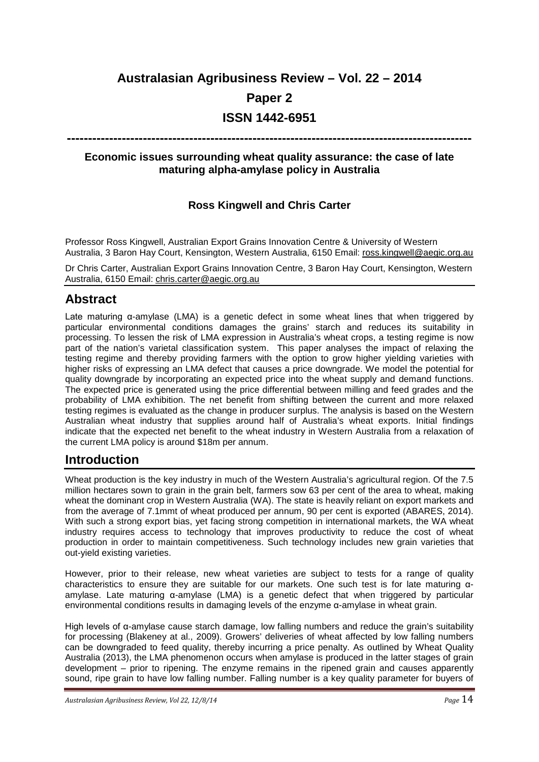# **Australasian Agribusiness Review – Vol. 22 – 2014**

### **Paper 2**

# **ISSN 1442-6951**

## **------------------------------------------------------------------------------------------------**

#### **Economic issues surrounding wheat quality assurance: the case of late maturing alpha-amylase policy in Australia**

### **Ross Kingwell and Chris Carter**

Professor Ross Kingwell, Australian Export Grains Innovation Centre & University of Western Australia, 3 Baron Hay Court, Kensington, Western Australia, 6150 Email: [ross.kingwell@aegic.org.au](mailto:ross.kingwell@aegic.org.au)

Dr Chris Carter, Australian Export Grains Innovation Centre, 3 Baron Hay Court, Kensington, Western Australia, 6150 Email: [chris.carter@aegic.org.au](mailto:chris.carter@aegic.org.au)

# **Abstract**

Late maturing α-amylase (LMA) is a genetic defect in some wheat lines that when triggered by particular environmental conditions damages the grains' starch and reduces its suitability in processing. To lessen the risk of LMA expression in Australia's wheat crops, a testing regime is now part of the nation's varietal classification system. This paper analyses the impact of relaxing the testing regime and thereby providing farmers with the option to grow higher yielding varieties with higher risks of expressing an LMA defect that causes a price downgrade. We model the potential for quality downgrade by incorporating an expected price into the wheat supply and demand functions. The expected price is generated using the price differential between milling and feed grades and the probability of LMA exhibition. The net benefit from shifting between the current and more relaxed testing regimes is evaluated as the change in producer surplus. The analysis is based on the Western Australian wheat industry that supplies around half of Australia's wheat exports. Initial findings indicate that the expected net benefit to the wheat industry in Western Australia from a relaxation of the current LMA policy is around \$18m per annum.

# **Introduction**

Wheat production is the key industry in much of the Western Australia's agricultural region. Of the 7.5 million hectares sown to grain in the grain belt, farmers sow 63 per cent of the area to wheat, making wheat the dominant crop in Western Australia (WA). The state is heavily reliant on export markets and from the average of 7.1mmt of wheat produced per annum, 90 per cent is exported (ABARES, 2014). With such a strong export bias, yet facing strong competition in international markets, the WA wheat industry requires access to technology that improves productivity to reduce the cost of wheat production in order to maintain competitiveness. Such technology includes new grain varieties that out-yield existing varieties.

However, prior to their release, new wheat varieties are subject to tests for a range of quality characteristics to ensure they are suitable for our markets. One such test is for late maturing αamylase. Late maturing α-amylase (LMA) is a genetic defect that when triggered by particular environmental conditions results in damaging levels of the enzyme α-amylase in wheat grain.

High levels of α-amylase cause starch damage, low falling numbers and reduce the grain's suitability for processing (Blakeney at al., 2009). Growers' deliveries of wheat affected by low falling numbers can be downgraded to feed quality, thereby incurring a price penalty. As outlined by Wheat Quality Australia (2013), the LMA phenomenon occurs when amylase is produced in the latter stages of grain development – prior to ripening. The enzyme remains in the ripened grain and causes apparently sound, ripe grain to have low falling number. Falling number is a key quality parameter for buyers of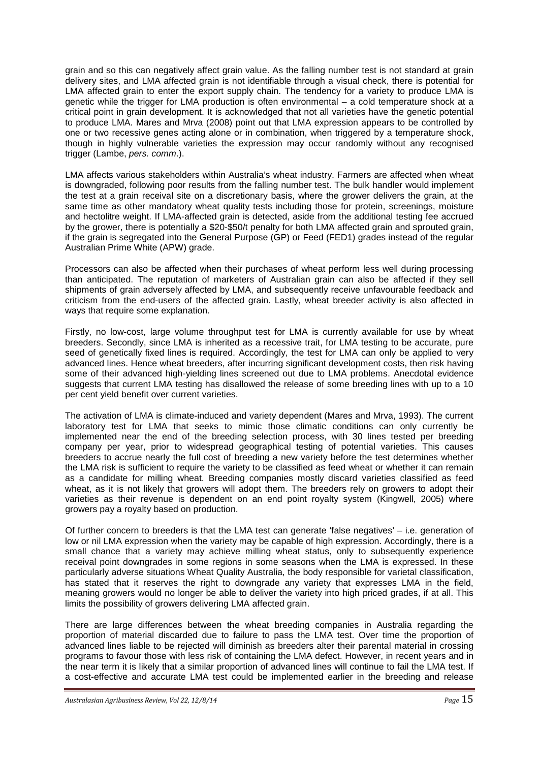grain and so this can negatively affect grain value. As the falling number test is not standard at grain delivery sites, and LMA affected grain is not identifiable through a visual check, there is potential for LMA affected grain to enter the export supply chain. The tendency for a variety to produce LMA is genetic while the trigger for LMA production is often environmental – a cold temperature shock at a critical point in grain development. It is acknowledged that not all varieties have the genetic potential to produce LMA. Mares and Mrva (2008) point out that LMA expression appears to be controlled by one or two recessive genes acting alone or in combination, when triggered by a temperature shock, though in highly vulnerable varieties the expression may occur randomly without any recognised trigger (Lambe, *pers. comm*.).

LMA affects various stakeholders within Australia's wheat industry. Farmers are affected when wheat is downgraded, following poor results from the falling number test. The bulk handler would implement the test at a grain receival site on a discretionary basis, where the grower delivers the grain, at the same time as other mandatory wheat quality tests including those for protein, screenings, moisture and hectolitre weight. If LMA-affected grain is detected, aside from the additional testing fee accrued by the grower, there is potentially a \$20-\$50/t penalty for both LMA affected grain and sprouted grain, if the grain is segregated into the General Purpose (GP) or Feed (FED1) grades instead of the regular Australian Prime White (APW) grade.

Processors can also be affected when their purchases of wheat perform less well during processing than anticipated. The reputation of marketers of Australian grain can also be affected if they sell shipments of grain adversely affected by LMA, and subsequently receive unfavourable feedback and criticism from the end-users of the affected grain. Lastly, wheat breeder activity is also affected in ways that require some explanation.

Firstly, no low-cost, large volume throughput test for LMA is currently available for use by wheat breeders. Secondly, since LMA is inherited as a recessive trait, for LMA testing to be accurate, pure seed of genetically fixed lines is required. Accordingly, the test for LMA can only be applied to very advanced lines. Hence wheat breeders, after incurring significant development costs, then risk having some of their advanced high-yielding lines screened out due to LMA problems. Anecdotal evidence suggests that current LMA testing has disallowed the release of some breeding lines with up to a 10 per cent yield benefit over current varieties.

The activation of LMA is climate-induced and variety dependent (Mares and Mrva, 1993). The current laboratory test for LMA that seeks to mimic those climatic conditions can only currently be implemented near the end of the breeding selection process, with 30 lines tested per breeding company per year, prior to widespread geographical testing of potential varieties. This causes breeders to accrue nearly the full cost of breeding a new variety before the test determines whether the LMA risk is sufficient to require the variety to be classified as feed wheat or whether it can remain as a candidate for milling wheat. Breeding companies mostly discard varieties classified as feed wheat, as it is not likely that growers will adopt them. The breeders rely on growers to adopt their varieties as their revenue is dependent on an end point royalty system (Kingwell, 2005) where growers pay a royalty based on production.

Of further concern to breeders is that the LMA test can generate 'false negatives' – i.e. generation of low or nil LMA expression when the variety may be capable of high expression. Accordingly, there is a small chance that a variety may achieve milling wheat status, only to subsequently experience receival point downgrades in some regions in some seasons when the LMA is expressed. In these particularly adverse situations Wheat Quality Australia, the body responsible for varietal classification, has stated that it reserves the right to downgrade any variety that expresses LMA in the field, meaning growers would no longer be able to deliver the variety into high priced grades, if at all. This limits the possibility of growers delivering LMA affected grain.

There are large differences between the wheat breeding companies in Australia regarding the proportion of material discarded due to failure to pass the LMA test. Over time the proportion of advanced lines liable to be rejected will diminish as breeders alter their parental material in crossing programs to favour those with less risk of containing the LMA defect. However, in recent years and in the near term it is likely that a similar proportion of advanced lines will continue to fail the LMA test. If a cost-effective and accurate LMA test could be implemented earlier in the breeding and release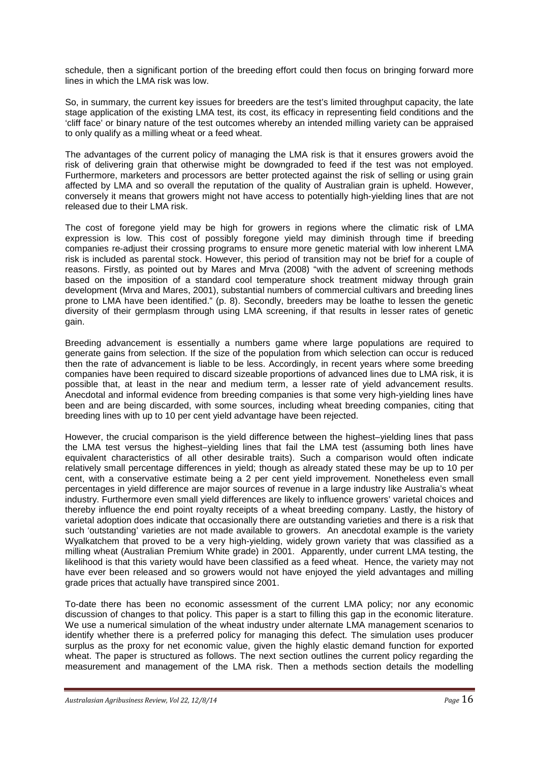schedule, then a significant portion of the breeding effort could then focus on bringing forward more lines in which the LMA risk was low.

So, in summary, the current key issues for breeders are the test's limited throughput capacity, the late stage application of the existing LMA test, its cost, its efficacy in representing field conditions and the 'cliff face' or binary nature of the test outcomes whereby an intended milling variety can be appraised to only qualify as a milling wheat or a feed wheat.

The advantages of the current policy of managing the LMA risk is that it ensures growers avoid the risk of delivering grain that otherwise might be downgraded to feed if the test was not employed. Furthermore, marketers and processors are better protected against the risk of selling or using grain affected by LMA and so overall the reputation of the quality of Australian grain is upheld. However, conversely it means that growers might not have access to potentially high-yielding lines that are not released due to their LMA risk.

The cost of foregone yield may be high for growers in regions where the climatic risk of LMA expression is low. This cost of possibly foregone yield may diminish through time if breeding companies re-adjust their crossing programs to ensure more genetic material with low inherent LMA risk is included as parental stock. However, this period of transition may not be brief for a couple of reasons. Firstly, as pointed out by Mares and Mrva (2008) "with the advent of screening methods based on the imposition of a standard cool temperature shock treatment midway through grain development (Mrva and Mares, 2001), substantial numbers of commercial cultivars and breeding lines prone to LMA have been identified." (p. 8). Secondly, breeders may be loathe to lessen the genetic diversity of their germplasm through using LMA screening, if that results in lesser rates of genetic gain.

Breeding advancement is essentially a numbers game where large populations are required to generate gains from selection. If the size of the population from which selection can occur is reduced then the rate of advancement is liable to be less. Accordingly, in recent years where some breeding companies have been required to discard sizeable proportions of advanced lines due to LMA risk, it is possible that, at least in the near and medium term, a lesser rate of yield advancement results. Anecdotal and informal evidence from breeding companies is that some very high-yielding lines have been and are being discarded, with some sources, including wheat breeding companies, citing that breeding lines with up to 10 per cent yield advantage have been rejected.

However, the crucial comparison is the yield difference between the highest–yielding lines that pass the LMA test versus the highest–yielding lines that fail the LMA test (assuming both lines have equivalent characteristics of all other desirable traits). Such a comparison would often indicate relatively small percentage differences in yield; though as already stated these may be up to 10 per cent, with a conservative estimate being a 2 per cent yield improvement. Nonetheless even small percentages in yield difference are major sources of revenue in a large industry like Australia's wheat industry. Furthermore even small yield differences are likely to influence growers' varietal choices and thereby influence the end point royalty receipts of a wheat breeding company. Lastly, the history of varietal adoption does indicate that occasionally there are outstanding varieties and there is a risk that such 'outstanding' varieties are not made available to growers. An anecdotal example is the variety Wyalkatchem that proved to be a very high-yielding, widely grown variety that was classified as a milling wheat (Australian Premium White grade) in 2001. Apparently, under current LMA testing, the likelihood is that this variety would have been classified as a feed wheat. Hence, the variety may not have ever been released and so growers would not have enjoyed the yield advantages and milling grade prices that actually have transpired since 2001.

To-date there has been no economic assessment of the current LMA policy; nor any economic discussion of changes to that policy. This paper is a start to filling this gap in the economic literature. We use a numerical simulation of the wheat industry under alternate LMA management scenarios to identify whether there is a preferred policy for managing this defect. The simulation uses producer surplus as the proxy for net economic value, given the highly elastic demand function for exported wheat. The paper is structured as follows. The next section outlines the current policy regarding the measurement and management of the LMA risk. Then a methods section details the modelling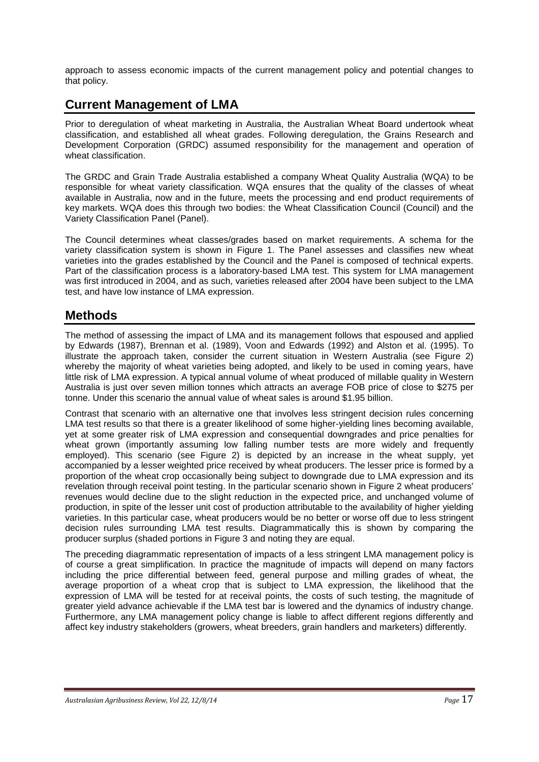approach to assess economic impacts of the current management policy and potential changes to that policy.

# **Current Management of LMA**

Prior to deregulation of wheat marketing in Australia, the Australian Wheat Board undertook wheat classification, and established all wheat grades. Following deregulation, the Grains Research and Development Corporation (GRDC) assumed responsibility for the management and operation of wheat classification

The GRDC and Grain Trade Australia established a company Wheat Quality Australia (WQA) to be responsible for wheat variety classification. WQA ensures that the quality of the classes of wheat available in Australia, now and in the future, meets the processing and end product requirements of key markets. WQA does this through two bodies: the Wheat Classification Council (Council) and the Variety Classification Panel (Panel).

The Council determines wheat classes/grades based on market requirements. A schema for the variety classification system is shown in Figure 1. The Panel assesses and classifies new wheat varieties into the grades established by the Council and the Panel is composed of technical experts. Part of the classification process is a laboratory-based LMA test. This system for LMA management was first introduced in 2004, and as such, varieties released after 2004 have been subject to the LMA test, and have low instance of LMA expression.

#### **Methods**

The method of assessing the impact of LMA and its management follows that espoused and applied by Edwards (1987), Brennan et al. (1989), Voon and Edwards (1992) and Alston et al. (1995). To illustrate the approach taken, consider the current situation in Western Australia (see Figure 2) whereby the majority of wheat varieties being adopted, and likely to be used in coming years, have little risk of LMA expression. A typical annual volume of wheat produced of millable quality in Western Australia is just over seven million tonnes which attracts an average FOB price of close to \$275 per tonne. Under this scenario the annual value of wheat sales is around \$1.95 billion.

Contrast that scenario with an alternative one that involves less stringent decision rules concerning LMA test results so that there is a greater likelihood of some higher-yielding lines becoming available, yet at some greater risk of LMA expression and consequential downgrades and price penalties for wheat grown (importantly assuming low falling number tests are more widely and frequently employed). This scenario (see Figure 2) is depicted by an increase in the wheat supply, yet accompanied by a lesser weighted price received by wheat producers. The lesser price is formed by a proportion of the wheat crop occasionally being subject to downgrade due to LMA expression and its revelation through receival point testing. In the particular scenario shown in Figure 2 wheat producers' revenues would decline due to the slight reduction in the expected price, and unchanged volume of production, in spite of the lesser unit cost of production attributable to the availability of higher yielding varieties. In this particular case, wheat producers would be no better or worse off due to less stringent decision rules surrounding LMA test results. Diagrammatically this is shown by comparing the producer surplus (shaded portions in Figure 3 and noting they are equal.

The preceding diagrammatic representation of impacts of a less stringent LMA management policy is of course a great simplification. In practice the magnitude of impacts will depend on many factors including the price differential between feed, general purpose and milling grades of wheat, the average proportion of a wheat crop that is subject to LMA expression, the likelihood that the expression of LMA will be tested for at receival points, the costs of such testing, the magnitude of greater yield advance achievable if the LMA test bar is lowered and the dynamics of industry change. Furthermore, any LMA management policy change is liable to affect different regions differently and affect key industry stakeholders (growers, wheat breeders, grain handlers and marketers) differently.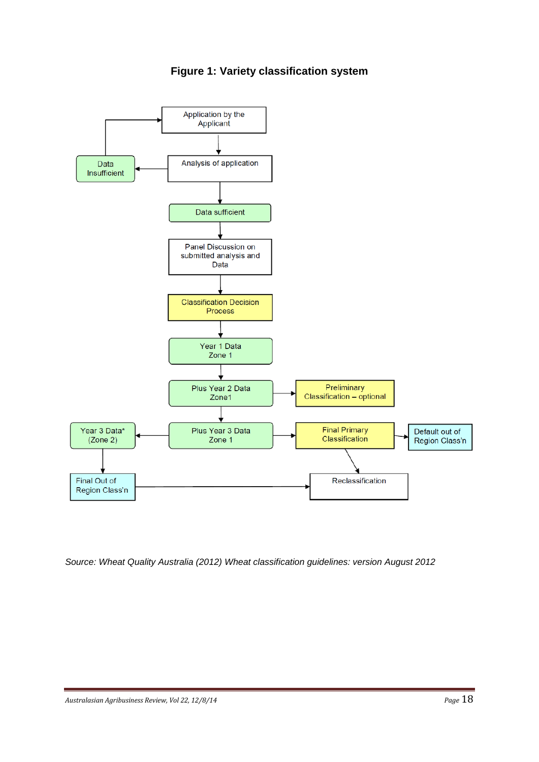



*Source: Wheat Quality Australia (2012) Wheat classification guidelines: version August 2012*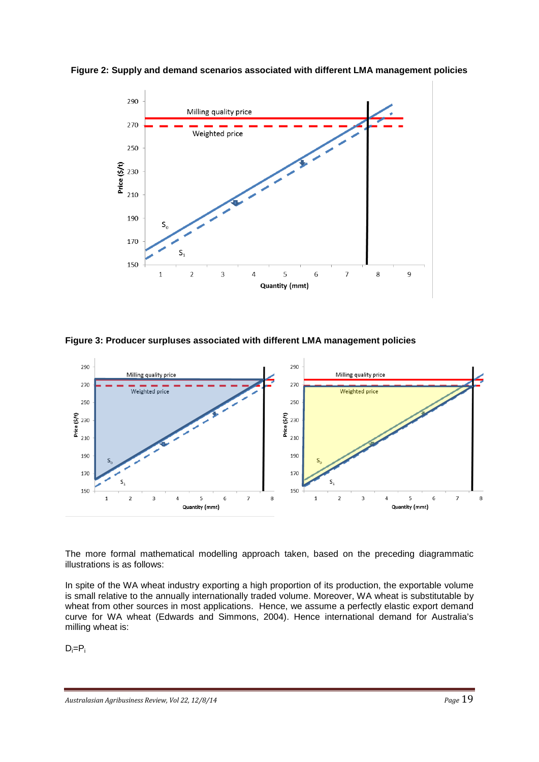

**Figure 2: Supply and demand scenarios associated with different LMA management policies**

**Figure 3: Producer surpluses associated with different LMA management policies**



The more formal mathematical modelling approach taken, based on the preceding diagrammatic illustrations is as follows:

In spite of the WA wheat industry exporting a high proportion of its production, the exportable volume is small relative to the annually internationally traded volume. Moreover, WA wheat is substitutable by wheat from other sources in most applications. Hence, we assume a perfectly elastic export demand curve for WA wheat (Edwards and Simmons, 2004). Hence international demand for Australia's milling wheat is:

 $D_i = P_i$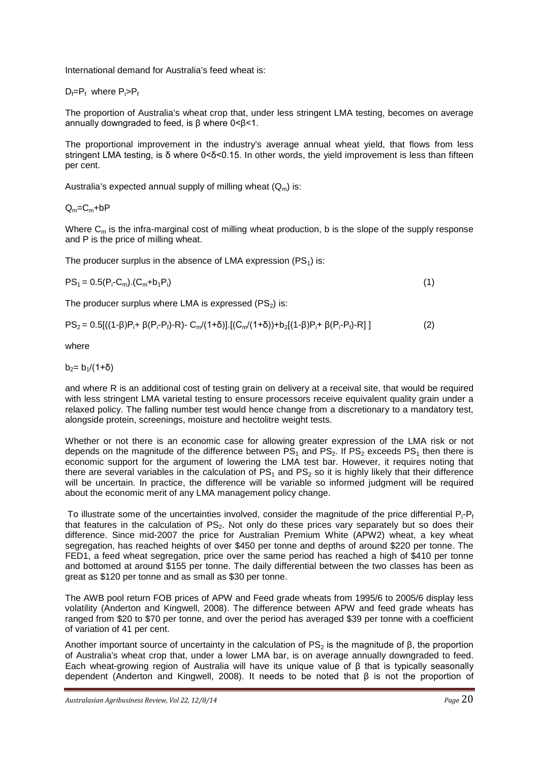International demand for Australia's feed wheat is:

 $D_f = P_f$  where  $P_i > P_f$ 

The proportion of Australia's wheat crop that, under less stringent LMA testing, becomes on average annually downgraded to feed, is β where 0<β<1.

The proportional improvement in the industry's average annual wheat yield, that flows from less stringent LMA testing, is δ where 0<δ<0.15. In other words, the yield improvement is less than fifteen per cent.

Australia's expected annual supply of milling wheat  $(Q_m)$  is:

 $Q_m = C_m + bP$ 

Where  $C_m$  is the infra-marginal cost of milling wheat production, b is the slope of the supply response and P is the price of milling wheat.

The producer surplus in the absence of LMA expression  $(PS_1)$  is:

$$
PS_1 = 0.5(P_i - C_m) \cdot (C_m + b_1 P_i) \tag{1}
$$

The producer surplus where LMA is expressed  $(PS_2)$  is:

 $PS_2 = 0.5[(1-\beta)P_i + \beta(P_i - P_f) - R] - C_m/(1+\delta)] \cdot [(C_m/(1+\delta)) + b_2[(1-\beta)P_i + \beta(P_i - P_f) - R]]$  (2)

where

 $b_2 = b_1/(1+\delta)$ 

and where R is an additional cost of testing grain on delivery at a receival site, that would be required with less stringent LMA varietal testing to ensure processors receive equivalent quality grain under a relaxed policy. The falling number test would hence change from a discretionary to a mandatory test, alongside protein, screenings, moisture and hectolitre weight tests.

Whether or not there is an economic case for allowing greater expression of the LMA risk or not depends on the magnitude of the difference between  $PS_1$  and  $PS_2$ . If PS<sub>2</sub> exceeds PS<sub>1</sub> then there is economic support for the argument of lowering the LMA test bar. However, it requires noting that there are several variables in the calculation of  $PS_1$  and  $PS_2$  so it is highly likely that their difference will be uncertain. In practice, the difference will be variable so informed judgment will be required about the economic merit of any LMA management policy change.

To illustrate some of the uncertainties involved, consider the magnitude of the price differential  $P_i-P_f$ that features in the calculation of  $PS<sub>2</sub>$ . Not only do these prices vary separately but so does their difference. Since mid-2007 the price for Australian Premium White (APW2) wheat, a key wheat segregation, has reached heights of over \$450 per tonne and depths of around \$220 per tonne. The FED1, a feed wheat segregation, price over the same period has reached a high of \$410 per tonne and bottomed at around \$155 per tonne. The daily differential between the two classes has been as great as \$120 per tonne and as small as \$30 per tonne.

The AWB pool return FOB prices of APW and Feed grade wheats from 1995/6 to 2005/6 display less volatility (Anderton and Kingwell, 2008). The difference between APW and feed grade wheats has ranged from \$20 to \$70 per tonne, and over the period has averaged \$39 per tonne with a coefficient of variation of 41 per cent.

Another important source of uncertainty in the calculation of PS<sub>2</sub> is the magnitude of β, the proportion of Australia's wheat crop that, under a lower LMA bar, is on average annually downgraded to feed. Each wheat-growing region of Australia will have its unique value of β that is typically seasonally dependent (Anderton and Kingwell, 2008). It needs to be noted that β is not the proportion of

*Australasian Agribusiness Review, Vol 22, 12/8/14 Page* 20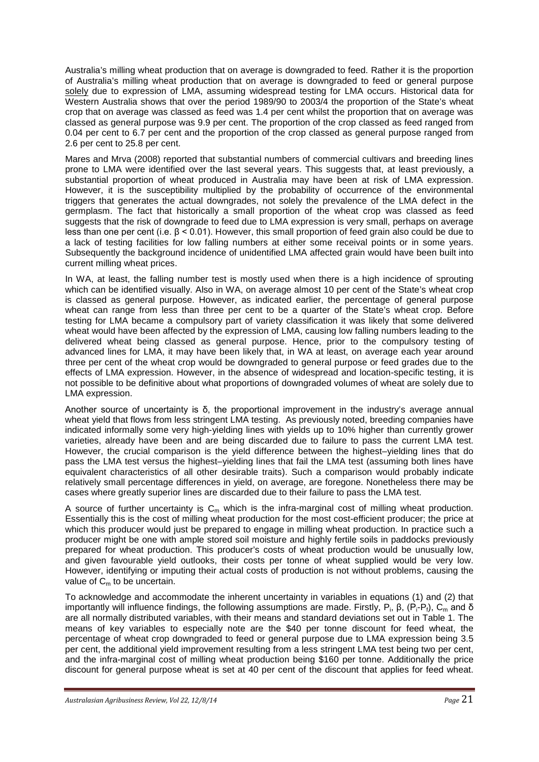Australia's milling wheat production that on average is downgraded to feed. Rather it is the proportion of Australia's milling wheat production that on average is downgraded to feed or general purpose solely due to expression of LMA, assuming widespread testing for LMA occurs. Historical data for Western Australia shows that over the period 1989/90 to 2003/4 the proportion of the State's wheat crop that on average was classed as feed was 1.4 per cent whilst the proportion that on average was classed as general purpose was 9.9 per cent. The proportion of the crop classed as feed ranged from 0.04 per cent to 6.7 per cent and the proportion of the crop classed as general purpose ranged from 2.6 per cent to 25.8 per cent.

Mares and Mrva (2008) reported that substantial numbers of commercial cultivars and breeding lines prone to LMA were identified over the last several years. This suggests that, at least previously, a substantial proportion of wheat produced in Australia may have been at risk of LMA expression. However, it is the susceptibility multiplied by the probability of occurrence of the environmental triggers that generates the actual downgrades, not solely the prevalence of the LMA defect in the germplasm. The fact that historically a small proportion of the wheat crop was classed as feed suggests that the risk of downgrade to feed due to LMA expression is very small, perhaps on average less than one per cent (i.e. β < 0.01). However, this small proportion of feed grain also could be due to a lack of testing facilities for low falling numbers at either some receival points or in some years. Subsequently the background incidence of unidentified LMA affected grain would have been built into current milling wheat prices.

In WA, at least, the falling number test is mostly used when there is a high incidence of sprouting which can be identified visually. Also in WA, on average almost 10 per cent of the State's wheat crop is classed as general purpose. However, as indicated earlier, the percentage of general purpose wheat can range from less than three per cent to be a quarter of the State's wheat crop. Before testing for LMA became a compulsory part of variety classification it was likely that some delivered wheat would have been affected by the expression of LMA, causing low falling numbers leading to the delivered wheat being classed as general purpose. Hence, prior to the compulsory testing of advanced lines for LMA, it may have been likely that, in WA at least, on average each year around three per cent of the wheat crop would be downgraded to general purpose or feed grades due to the effects of LMA expression. However, in the absence of widespread and location-specific testing, it is not possible to be definitive about what proportions of downgraded volumes of wheat are solely due to LMA expression.

Another source of uncertainty is δ, the proportional improvement in the industry's average annual wheat yield that flows from less stringent LMA testing. As previously noted, breeding companies have indicated informally some very high-yielding lines with yields up to 10% higher than currently grower varieties, already have been and are being discarded due to failure to pass the current LMA test. However, the crucial comparison is the yield difference between the highest–yielding lines that do pass the LMA test versus the highest–yielding lines that fail the LMA test (assuming both lines have equivalent characteristics of all other desirable traits). Such a comparison would probably indicate relatively small percentage differences in yield, on average, are foregone. Nonetheless there may be cases where greatly superior lines are discarded due to their failure to pass the LMA test.

A source of further uncertainty is  $C_m$  which is the infra-marginal cost of milling wheat production. Essentially this is the cost of milling wheat production for the most cost-efficient producer; the price at which this producer would just be prepared to engage in milling wheat production. In practice such a producer might be one with ample stored soil moisture and highly fertile soils in paddocks previously prepared for wheat production. This producer's costs of wheat production would be unusually low, and given favourable yield outlooks, their costs per tonne of wheat supplied would be very low. However, identifying or imputing their actual costs of production is not without problems, causing the value of  $C<sub>m</sub>$  to be uncertain.

To acknowledge and accommodate the inherent uncertainty in variables in equations (1) and (2) that importantly will influence findings, the following assumptions are made. Firstly, P<sub>i</sub>, β, (P<sub>i</sub>-P<sub>f</sub>), C<sub>m</sub> and δ are all normally distributed variables, with their means and standard deviations set out in Table 1. The means of key variables to especially note are the \$40 per tonne discount for feed wheat, the percentage of wheat crop downgraded to feed or general purpose due to LMA expression being 3.5 per cent, the additional yield improvement resulting from a less stringent LMA test being two per cent, and the infra-marginal cost of milling wheat production being \$160 per tonne. Additionally the price discount for general purpose wheat is set at 40 per cent of the discount that applies for feed wheat.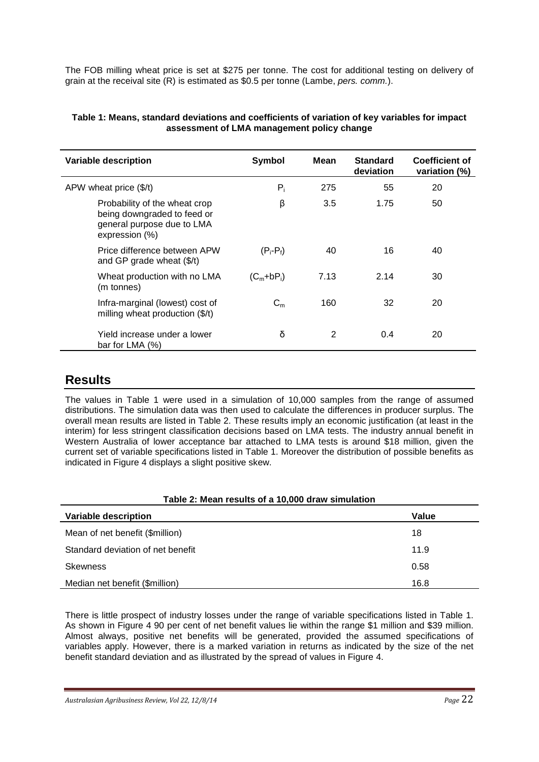The FOB milling wheat price is set at \$275 per tonne. The cost for additional testing on delivery of grain at the receival site (R) is estimated as \$0.5 per tonne (Lambe, *pers. comm.*).

| Variable description                                                                                         | Symbol       | Mean | <b>Standard</b><br>deviation | <b>Coefficient of</b><br>variation (%) |
|--------------------------------------------------------------------------------------------------------------|--------------|------|------------------------------|----------------------------------------|
| APW wheat price $($/t)$                                                                                      | $P_i$        | 275  | 55                           | 20                                     |
| Probability of the wheat crop<br>being downgraded to feed or<br>general purpose due to LMA<br>expression (%) | β            | 3.5  | 1.75                         | 50                                     |
| Price difference between APW<br>and GP grade wheat $(\frac{5}{t})$                                           | $(P_i-P_f)$  | 40   | 16                           | 40                                     |
| Wheat production with no LMA<br>(m tonnes)                                                                   | $(C_m+bP_i)$ | 7.13 | 2.14                         | 30                                     |
| Infra-marginal (lowest) cost of<br>milling wheat production $(\frac{4}{3})$                                  | $C_m$        | 160  | 32                           | 20                                     |
| Yield increase under a lower<br>bar for LMA $(%)$                                                            | δ            | 2    | 0.4                          | 20                                     |

#### **Table 1: Means, standard deviations and coefficients of variation of key variables for impact assessment of LMA management policy change**

# **Results**

The values in Table 1 were used in a simulation of 10,000 samples from the range of assumed distributions. The simulation data was then used to calculate the differences in producer surplus. The overall mean results are listed in Table 2. These results imply an economic justification (at least in the interim) for less stringent classification decisions based on LMA tests. The industry annual benefit in Western Australia of lower acceptance bar attached to LMA tests is around \$18 million, given the current set of variable specifications listed in Table 1. Moreover the distribution of possible benefits as indicated in Figure 4 displays a slight positive skew.

# **Table 2: Mean results of a 10,000 draw simulation Variable description Value** Mean of net benefit (\$million) 18 Standard deviation of net benefit 11.9 Skewness 0.58 Median net benefit (\$million) 16.8

There is little prospect of industry losses under the range of variable specifications listed in Table 1. As shown in Figure 4 90 per cent of net benefit values lie within the range \$1 million and \$39 million. Almost always, positive net benefits will be generated, provided the assumed specifications of variables apply. However, there is a marked variation in returns as indicated by the size of the net benefit standard deviation and as illustrated by the spread of values in Figure 4.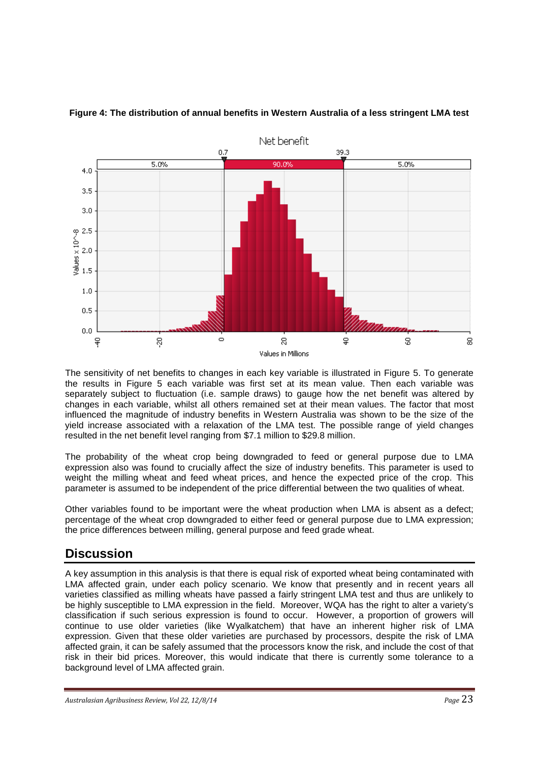

**Figure 4: The distribution of annual benefits in Western Australia of a less stringent LMA test**

The sensitivity of net benefits to changes in each key variable is illustrated in Figure 5. To generate the results in Figure 5 each variable was first set at its mean value. Then each variable was separately subject to fluctuation (i.e. sample draws) to gauge how the net benefit was altered by changes in each variable, whilst all others remained set at their mean values. The factor that most influenced the magnitude of industry benefits in Western Australia was shown to be the size of the yield increase associated with a relaxation of the LMA test. The possible range of yield changes resulted in the net benefit level ranging from \$7.1 million to \$29.8 million.

The probability of the wheat crop being downgraded to feed or general purpose due to LMA expression also was found to crucially affect the size of industry benefits. This parameter is used to weight the milling wheat and feed wheat prices, and hence the expected price of the crop. This parameter is assumed to be independent of the price differential between the two qualities of wheat.

Other variables found to be important were the wheat production when LMA is absent as a defect; percentage of the wheat crop downgraded to either feed or general purpose due to LMA expression; the price differences between milling, general purpose and feed grade wheat.

# **Discussion**

A key assumption in this analysis is that there is equal risk of exported wheat being contaminated with LMA affected grain, under each policy scenario. We know that presently and in recent years all varieties classified as milling wheats have passed a fairly stringent LMA test and thus are unlikely to be highly susceptible to LMA expression in the field. Moreover, WQA has the right to alter a variety's classification if such serious expression is found to occur. However, a proportion of growers will continue to use older varieties (like Wyalkatchem) that have an inherent higher risk of LMA expression. Given that these older varieties are purchased by processors, despite the risk of LMA affected grain, it can be safely assumed that the processors know the risk, and include the cost of that risk in their bid prices. Moreover, this would indicate that there is currently some tolerance to a background level of LMA affected grain.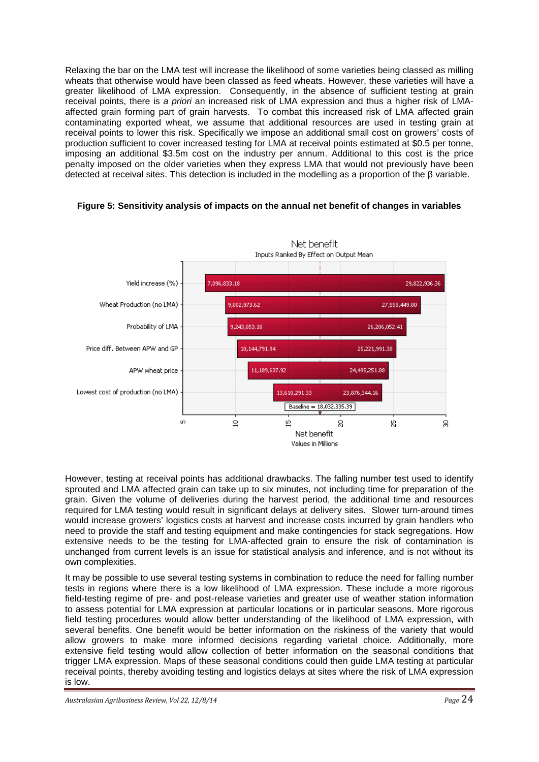Relaxing the bar on the LMA test will increase the likelihood of some varieties being classed as milling wheats that otherwise would have been classed as feed wheats. However, these varieties will have a greater likelihood of LMA expression. Consequently, in the absence of sufficient testing at grain receival points, there is *a priori* an increased risk of LMA expression and thus a higher risk of LMAaffected grain forming part of grain harvests. To combat this increased risk of LMA affected grain contaminating exported wheat, we assume that additional resources are used in testing grain at receival points to lower this risk. Specifically we impose an additional small cost on growers' costs of production sufficient to cover increased testing for LMA at receival points estimated at \$0.5 per tonne, imposing an additional \$3.5m cost on the industry per annum. Additional to this cost is the price penalty imposed on the older varieties when they express LMA that would not previously have been detected at receival sites. This detection is included in the modelling as a proportion of the β variable.



#### **Figure 5: Sensitivity analysis of impacts on the annual net benefit of changes in variables**

However, testing at receival points has additional drawbacks. The falling number test used to identify sprouted and LMA affected grain can take up to six minutes, not including time for preparation of the grain. Given the volume of deliveries during the harvest period, the additional time and resources required for LMA testing would result in significant delays at delivery sites. Slower turn-around times would increase growers' logistics costs at harvest and increase costs incurred by grain handlers who need to provide the staff and testing equipment and make contingencies for stack segregations. How extensive needs to be the testing for LMA-affected grain to ensure the risk of contamination is unchanged from current levels is an issue for statistical analysis and inference, and is not without its own complexities.

It may be possible to use several testing systems in combination to reduce the need for falling number tests in regions where there is a low likelihood of LMA expression. These include a more rigorous field-testing regime of pre- and post-release varieties and greater use of weather station information to assess potential for LMA expression at particular locations or in particular seasons. More rigorous field testing procedures would allow better understanding of the likelihood of LMA expression, with several benefits. One benefit would be better information on the riskiness of the variety that would allow growers to make more informed decisions regarding varietal choice. Additionally, more extensive field testing would allow collection of better information on the seasonal conditions that trigger LMA expression. Maps of these seasonal conditions could then guide LMA testing at particular receival points, thereby avoiding testing and logistics delays at sites where the risk of LMA expression is low.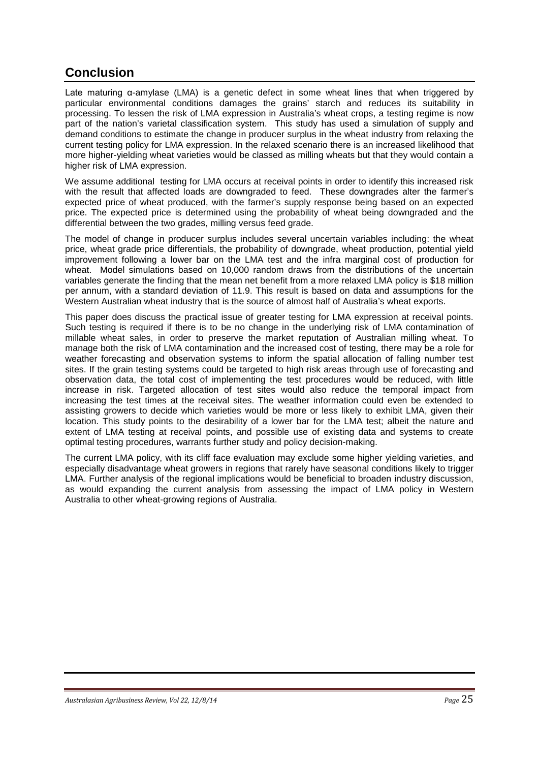# **Conclusion**

Late maturing α-amylase (LMA) is a genetic defect in some wheat lines that when triggered by particular environmental conditions damages the grains' starch and reduces its suitability in processing. To lessen the risk of LMA expression in Australia's wheat crops, a testing regime is now part of the nation's varietal classification system. This study has used a simulation of supply and demand conditions to estimate the change in producer surplus in the wheat industry from relaxing the current testing policy for LMA expression. In the relaxed scenario there is an increased likelihood that more higher-yielding wheat varieties would be classed as milling wheats but that they would contain a higher risk of LMA expression.

We assume additional testing for LMA occurs at receival points in order to identify this increased risk with the result that affected loads are downgraded to feed. These downgrades alter the farmer's expected price of wheat produced, with the farmer's supply response being based on an expected price. The expected price is determined using the probability of wheat being downgraded and the differential between the two grades, milling versus feed grade.

The model of change in producer surplus includes several uncertain variables including: the wheat price, wheat grade price differentials, the probability of downgrade, wheat production, potential yield improvement following a lower bar on the LMA test and the infra marginal cost of production for wheat. Model simulations based on 10,000 random draws from the distributions of the uncertain variables generate the finding that the mean net benefit from a more relaxed LMA policy is \$18 million per annum, with a standard deviation of 11.9. This result is based on data and assumptions for the Western Australian wheat industry that is the source of almost half of Australia's wheat exports.

This paper does discuss the practical issue of greater testing for LMA expression at receival points. Such testing is required if there is to be no change in the underlying risk of LMA contamination of millable wheat sales, in order to preserve the market reputation of Australian milling wheat. To manage both the risk of LMA contamination and the increased cost of testing, there may be a role for weather forecasting and observation systems to inform the spatial allocation of falling number test sites. If the grain testing systems could be targeted to high risk areas through use of forecasting and observation data, the total cost of implementing the test procedures would be reduced, with little increase in risk. Targeted allocation of test sites would also reduce the temporal impact from increasing the test times at the receival sites. The weather information could even be extended to assisting growers to decide which varieties would be more or less likely to exhibit LMA, given their location. This study points to the desirability of a lower bar for the LMA test; albeit the nature and extent of LMA testing at receival points, and possible use of existing data and systems to create optimal testing procedures, warrants further study and policy decision-making.

The current LMA policy, with its cliff face evaluation may exclude some higher yielding varieties, and especially disadvantage wheat growers in regions that rarely have seasonal conditions likely to trigger LMA. Further analysis of the regional implications would be beneficial to broaden industry discussion, as would expanding the current analysis from assessing the impact of LMA policy in Western Australia to other wheat-growing regions of Australia.